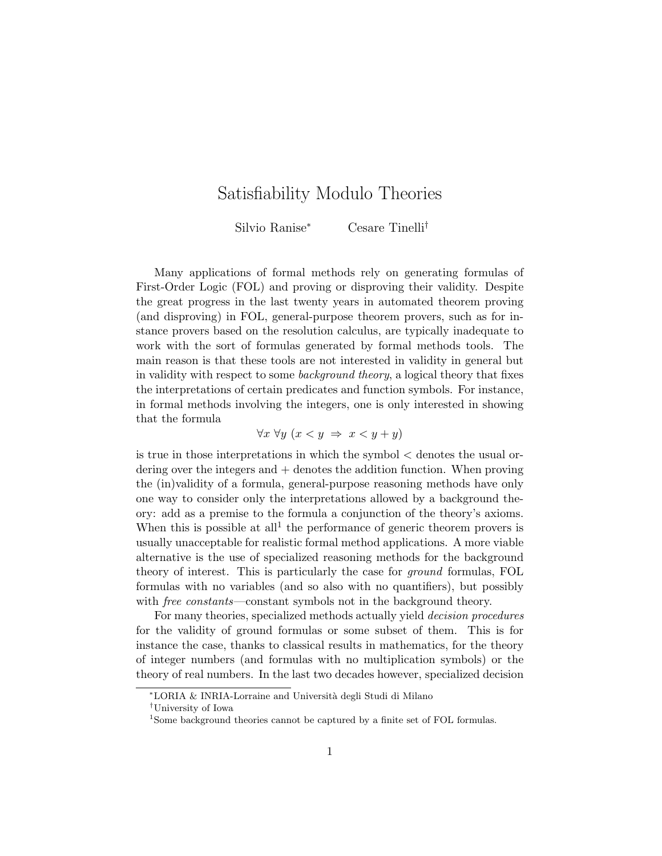# Satisfiability Modulo Theories

Silvio Ranise<sup>∗</sup> Cesare Tinelli†

Many applications of formal methods rely on generating formulas of First-Order Logic (FOL) and proving or disproving their validity. Despite the great progress in the last twenty years in automated theorem proving (and disproving) in FOL, general-purpose theorem provers, such as for instance provers based on the resolution calculus, are typically inadequate to work with the sort of formulas generated by formal methods tools. The main reason is that these tools are not interested in validity in general but in validity with respect to some background theory, a logical theory that fixes the interpretations of certain predicates and function symbols. For instance, in formal methods involving the integers, one is only interested in showing that the formula

$$
\forall x \,\forall y \,(x < y \Rightarrow x < y + y)
$$

is true in those interpretations in which the symbol < denotes the usual ordering over the integers and  $+$  denotes the addition function. When proving the (in)validity of a formula, general-purpose reasoning methods have only one way to consider only the interpretations allowed by a background theory: add as a premise to the formula a conjunction of the theory's axioms. When this is possible at all<sup>1</sup> the performance of generic theorem provers is usually unacceptable for realistic formal method applications. A more viable alternative is the use of specialized reasoning methods for the background theory of interest. This is particularly the case for ground formulas, FOL formulas with no variables (and so also with no quantifiers), but possibly with *free constants*—constant symbols not in the background theory.

For many theories, specialized methods actually yield decision procedures for the validity of ground formulas or some subset of them. This is for instance the case, thanks to classical results in mathematics, for the theory of integer numbers (and formulas with no multiplication symbols) or the theory of real numbers. In the last two decades however, specialized decision

<sup>∗</sup>LORIA & INRIA-Lorraine and Universit`a degli Studi di Milano

<sup>†</sup>University of Iowa

<sup>&</sup>lt;sup>1</sup>Some background theories cannot be captured by a finite set of FOL formulas.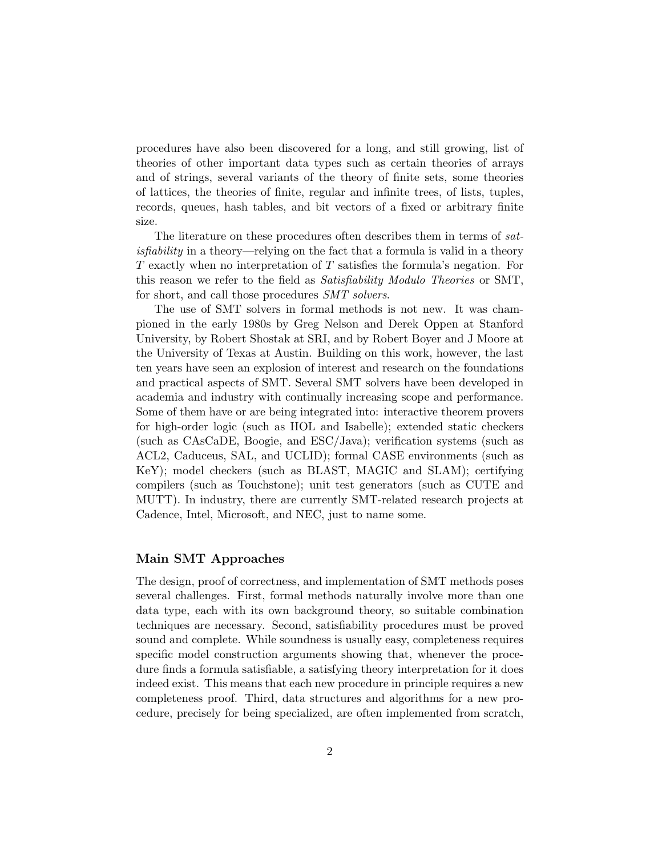procedures have also been discovered for a long, and still growing, list of theories of other important data types such as certain theories of arrays and of strings, several variants of the theory of finite sets, some theories of lattices, the theories of finite, regular and infinite trees, of lists, tuples, records, queues, hash tables, and bit vectors of a fixed or arbitrary finite size.

The literature on these procedures often describes them in terms of satisfiability in a theory—relying on the fact that a formula is valid in a theory T exactly when no interpretation of T satisfies the formula's negation. For this reason we refer to the field as *Satisfiability Modulo Theories* or SMT, for short, and call those procedures  $SMT$  solvers.

The use of SMT solvers in formal methods is not new. It was championed in the early 1980s by Greg Nelson and Derek Oppen at Stanford University, by Robert Shostak at SRI, and by Robert Boyer and J Moore at the University of Texas at Austin. Building on this work, however, the last ten years have seen an explosion of interest and research on the foundations and practical aspects of SMT. Several SMT solvers have been developed in academia and industry with continually increasing scope and performance. Some of them have or are being integrated into: interactive theorem provers for high-order logic (such as HOL and Isabelle); extended static checkers (such as CAsCaDE, Boogie, and ESC/Java); verification systems (such as ACL2, Caduceus, SAL, and UCLID); formal CASE environments (such as KeY); model checkers (such as BLAST, MAGIC and SLAM); certifying compilers (such as Touchstone); unit test generators (such as CUTE and MUTT). In industry, there are currently SMT-related research projects at Cadence, Intel, Microsoft, and NEC, just to name some.

### Main SMT Approaches

The design, proof of correctness, and implementation of SMT methods poses several challenges. First, formal methods naturally involve more than one data type, each with its own background theory, so suitable combination techniques are necessary. Second, satisfiability procedures must be proved sound and complete. While soundness is usually easy, completeness requires specific model construction arguments showing that, whenever the procedure finds a formula satisfiable, a satisfying theory interpretation for it does indeed exist. This means that each new procedure in principle requires a new completeness proof. Third, data structures and algorithms for a new procedure, precisely for being specialized, are often implemented from scratch,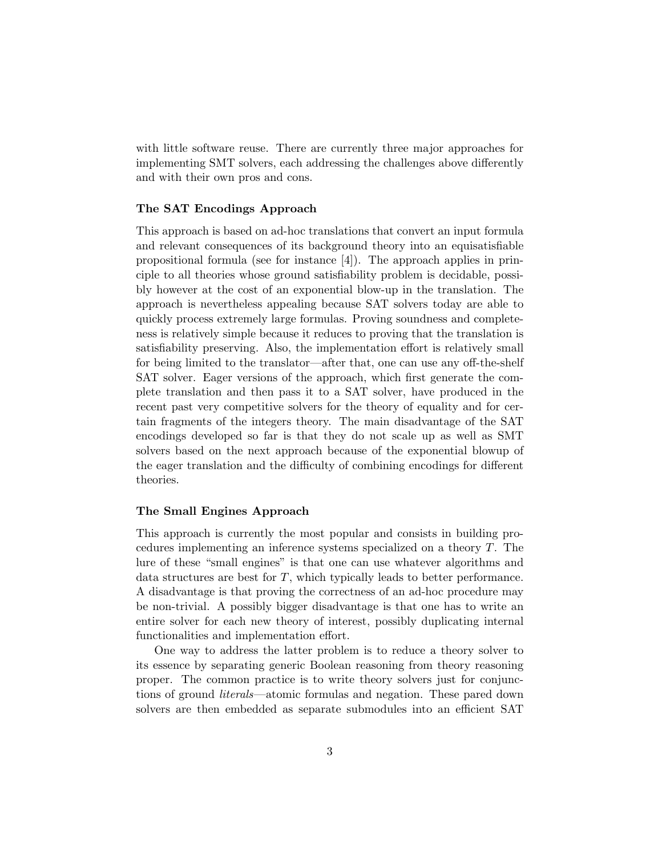with little software reuse. There are currently three major approaches for implementing SMT solvers, each addressing the challenges above differently and with their own pros and cons.

#### The SAT Encodings Approach

This approach is based on ad-hoc translations that convert an input formula and relevant consequences of its background theory into an equisatisfiable propositional formula (see for instance [4]). The approach applies in principle to all theories whose ground satisfiability problem is decidable, possibly however at the cost of an exponential blow-up in the translation. The approach is nevertheless appealing because SAT solvers today are able to quickly process extremely large formulas. Proving soundness and completeness is relatively simple because it reduces to proving that the translation is satisfiability preserving. Also, the implementation effort is relatively small for being limited to the translator—after that, one can use any off-the-shelf SAT solver. Eager versions of the approach, which first generate the complete translation and then pass it to a SAT solver, have produced in the recent past very competitive solvers for the theory of equality and for certain fragments of the integers theory. The main disadvantage of the SAT encodings developed so far is that they do not scale up as well as SMT solvers based on the next approach because of the exponential blowup of the eager translation and the difficulty of combining encodings for different theories.

## The Small Engines Approach

This approach is currently the most popular and consists in building procedures implementing an inference systems specialized on a theory T. The lure of these "small engines" is that one can use whatever algorithms and data structures are best for  $T$ , which typically leads to better performance. A disadvantage is that proving the correctness of an ad-hoc procedure may be non-trivial. A possibly bigger disadvantage is that one has to write an entire solver for each new theory of interest, possibly duplicating internal functionalities and implementation effort.

One way to address the latter problem is to reduce a theory solver to its essence by separating generic Boolean reasoning from theory reasoning proper. The common practice is to write theory solvers just for conjunctions of ground literals—atomic formulas and negation. These pared down solvers are then embedded as separate submodules into an efficient SAT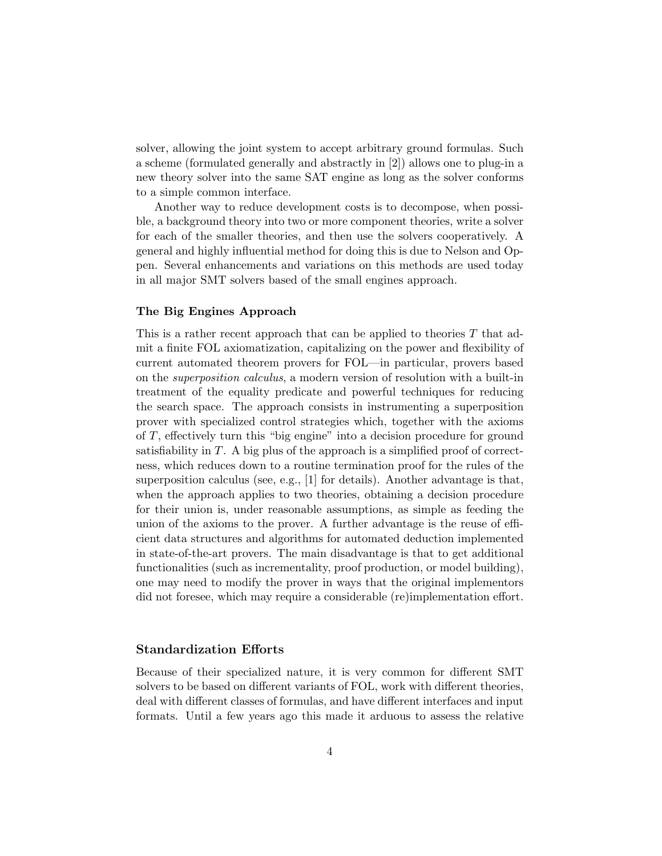solver, allowing the joint system to accept arbitrary ground formulas. Such a scheme (formulated generally and abstractly in [2]) allows one to plug-in a new theory solver into the same SAT engine as long as the solver conforms to a simple common interface.

Another way to reduce development costs is to decompose, when possible, a background theory into two or more component theories, write a solver for each of the smaller theories, and then use the solvers cooperatively. A general and highly influential method for doing this is due to Nelson and Oppen. Several enhancements and variations on this methods are used today in all major SMT solvers based of the small engines approach.

#### The Big Engines Approach

This is a rather recent approach that can be applied to theories  $T$  that admit a finite FOL axiomatization, capitalizing on the power and flexibility of current automated theorem provers for FOL—in particular, provers based on the superposition calculus, a modern version of resolution with a built-in treatment of the equality predicate and powerful techniques for reducing the search space. The approach consists in instrumenting a superposition prover with specialized control strategies which, together with the axioms of T, effectively turn this "big engine" into a decision procedure for ground satisfiability in  $T$ . A big plus of the approach is a simplified proof of correctness, which reduces down to a routine termination proof for the rules of the superposition calculus (see, e.g., [1] for details). Another advantage is that, when the approach applies to two theories, obtaining a decision procedure for their union is, under reasonable assumptions, as simple as feeding the union of the axioms to the prover. A further advantage is the reuse of efficient data structures and algorithms for automated deduction implemented in state-of-the-art provers. The main disadvantage is that to get additional functionalities (such as incrementality, proof production, or model building), one may need to modify the prover in ways that the original implementors did not foresee, which may require a considerable (re)implementation effort.

#### Standardization Efforts

Because of their specialized nature, it is very common for different SMT solvers to be based on different variants of FOL, work with different theories, deal with different classes of formulas, and have different interfaces and input formats. Until a few years ago this made it arduous to assess the relative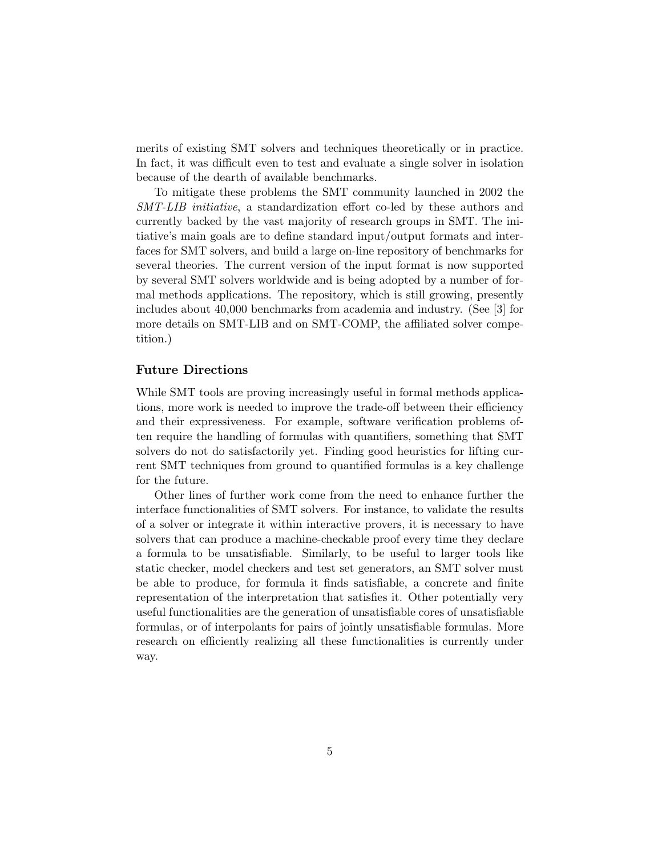merits of existing SMT solvers and techniques theoretically or in practice. In fact, it was difficult even to test and evaluate a single solver in isolation because of the dearth of available benchmarks.

To mitigate these problems the SMT community launched in 2002 the SMT-LIB initiative, a standardization effort co-led by these authors and currently backed by the vast majority of research groups in SMT. The initiative's main goals are to define standard input/output formats and interfaces for SMT solvers, and build a large on-line repository of benchmarks for several theories. The current version of the input format is now supported by several SMT solvers worldwide and is being adopted by a number of formal methods applications. The repository, which is still growing, presently includes about 40,000 benchmarks from academia and industry. (See [3] for more details on SMT-LIB and on SMT-COMP, the affiliated solver competition.)

#### Future Directions

While SMT tools are proving increasingly useful in formal methods applications, more work is needed to improve the trade-off between their efficiency and their expressiveness. For example, software verification problems often require the handling of formulas with quantifiers, something that SMT solvers do not do satisfactorily yet. Finding good heuristics for lifting current SMT techniques from ground to quantified formulas is a key challenge for the future.

Other lines of further work come from the need to enhance further the interface functionalities of SMT solvers. For instance, to validate the results of a solver or integrate it within interactive provers, it is necessary to have solvers that can produce a machine-checkable proof every time they declare a formula to be unsatisfiable. Similarly, to be useful to larger tools like static checker, model checkers and test set generators, an SMT solver must be able to produce, for formula it finds satisfiable, a concrete and finite representation of the interpretation that satisfies it. Other potentially very useful functionalities are the generation of unsatisfiable cores of unsatisfiable formulas, or of interpolants for pairs of jointly unsatisfiable formulas. More research on efficiently realizing all these functionalities is currently under way.